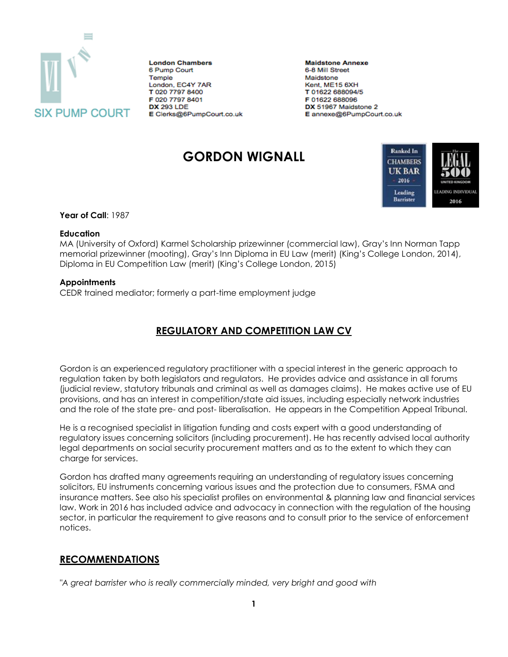

**London Chambers** 6 Pump Court Temple London, EC4Y 7AR T 020 7797 8400 F 020 7797 8401 **DX 293 LDE** E Clerks@6PumpCourt.co.uk **Maidstone Annexe** 6-8 Mill Street Maidstone Kent, ME15 6XH T 01622 688094/5 F 01622 688096 DX 51967 Maidstone 2 E annexe@6PumpCourt.co.uk

# **GORDON WIGNALL**



**Year of Call**: 1987

#### **Education**

MA (University of Oxford) Karmel Scholarship prizewinner (commercial law), Gray's Inn Norman Tapp memorial prizewinner (mooting), Gray's Inn Diploma in EU Law (merit) (King's College London, 2014), Diploma in EU Competition Law (merit) (King's College London, 2015)

### **Appointments**

CEDR trained mediator; formerly a part-time employment judge

# **REGULATORY AND COMPETITION LAW CV**

Gordon is an experienced regulatory practitioner with a special interest in the generic approach to regulation taken by both legislators and regulators. He provides advice and assistance in all forums (judicial review, statutory tribunals and criminal as well as damages claims). He makes active use of EU provisions, and has an interest in competition/state aid issues, including especially network industries and the role of the state pre- and post- liberalisation. He appears in the Competition Appeal Tribunal.

He is a recognised specialist in litigation funding and costs expert with a good understanding of regulatory issues concerning solicitors (including procurement). He has recently advised local authority legal departments on social security procurement matters and as to the extent to which they can charge for services.

Gordon has drafted many agreements requiring an understanding of regulatory issues concerning solicitors, EU instruments concerning various issues and the protection due to consumers, FSMA and insurance matters. See also his specialist profiles on environmental & planning law and financial services law. Work in 2016 has included advice and advocacy in connection with the regulation of the housing sector, in particular the requirement to give reasons and to consult prior to the service of enforcement notices.

## **RECOMMENDATIONS**

*"A great barrister who is really commercially minded, very bright and good with*